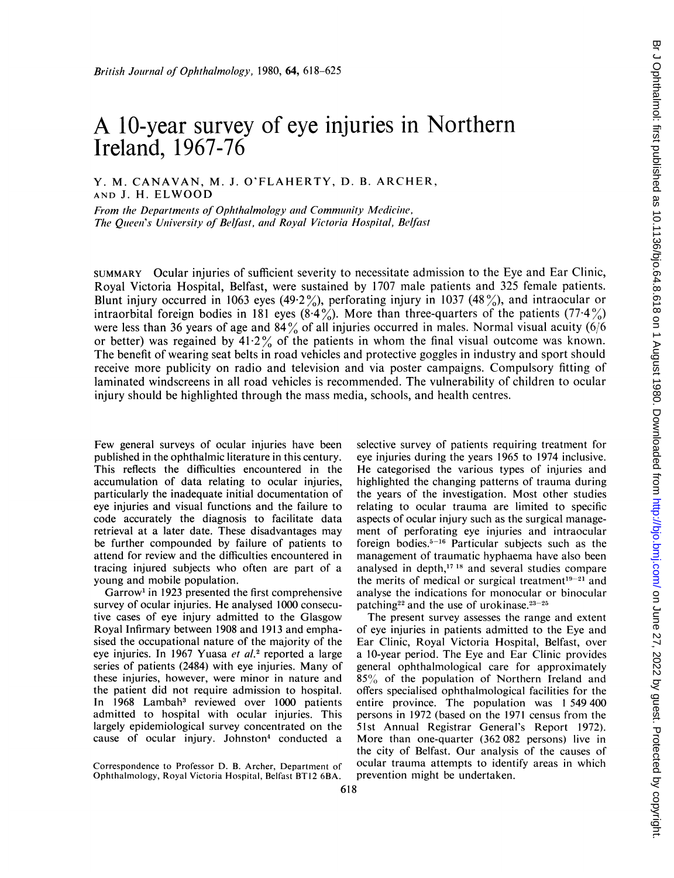# A 10-year survey of eye injuries in Northern Ireland, 1967-76

Y. M. CANAVAN, M. J. O'FLAHERTY, D. B. ARCHER, AND J. H. ELWOOD

From the Departments of Ophthalmology and Community Medicine, The Queen's University of Belfast, and Royal Victoria Hospital, Belfast

SUMMARY Ocular injuries of sufficient severity to necessitate admission to the Eye and Ear Clinic, Royal Victoria Hospital, Belfast, were sustained by 1707 male patients and 325 female patients. Blunt injury occurred in 1063 eyes (49.2%), perforating injury in 1037 (48%), and intraocular or intraorbital foreign bodies in 181 eyes (8.4%). More than three-quarters of the patients (77.4%) were less than 36 years of age and 84% of all injuries occurred in males. Normal visual acuity (6/6 or better) was regained by  $41.2\%$  of the patients in whom the final visual outcome was known. The benefit of wearing seat belts in road vehicles and protective goggles in industry and sport should receive more publicity on radio and television and via poster campaigns. Compulsory fitting of laminated windscreens in all road vehicles is recommended. The vulnerability of children to ocular injury should be highlighted through the mass media, schools, and health centres.

Few general surveys of ocular injuries have been published in the ophthalmic literature in this century. This reflects the difficulties encountered in the accumulation of data relating to ocular injuries, particularly the inadequate initial documentation of eye injuries and visual functions and the failure to code accurately the diagnosis to facilitate data retrieval at a later date. These disadvantages may be further compounded by failure of patients to attend for review and the difficulties encountered in tracing injured subjects who often are part of a young and mobile population.

Garrow' in 1923 presented the first comprehensive survey of ocular injuries. He analysed 1000 consecutive cases of eye injury admitted to the Glasgow Royal Infirmary between 1908 and 1913 and emphasised the occupational nature of the majority of the eye injuries. In 1967 Yuasa et al.<sup>2</sup> reported a large series of patients (2484) with eye injuries. Many of these injuries, however, were minor in nature and the patient did not require admission to hospital. In 1968 Lambah<sup>3</sup> reviewed over 1000 patients admitted to hospital with ocular injuries. This largely epidemiological survey concentrated on the cause of ocular injury. Johnston4 conducted a

selective survey of patients requiring treatment for eye injuries during the years 1965 to 1974 inclusive. He categorised the various types of injuries and highlighted the changing patterns of trauma during the years of the investigation. Most other studies relating to ocular trauma are limited to specific aspects of ocular injury such as the surgical management of perforating eye injuries and intraocular foreign bodies. $5-16$  Particular subjects such as the management of traumatic hyphaema have also been analysed in depth,<sup>17 18</sup> and several studies compare the merits of medical or surgical treatment $19-21$  and analyse the indications for monocular or binocular patching<sup>22</sup> and the use of urokinase.<sup>23-25</sup>

The present survey assesses the range and extent of eye injuries in patients admitted to the Eye and Ear Clinic, Royal Victoria Hospital, Belfast, over a 10-year period. The Eye and Ear Clinic provides general ophthalmological care for approximately 85% of the population of Northern Ireland and offers specialised ophthalmological facilities for the entire province. The population was <sup>1</sup> 549 400 persons in 1972 (based on the 1971 census from the 51st Annual Registrar General's Report 1972). More than one-quarter (362 082 persons) live in the city of Belfast. Our analysis of the causes of ocular trauma attempts to identify areas in which prevention might be undertaken.

Correspondence to Professor D. B. Archer, Department of Ophthalmology, Royal Victoria Hospital, Belfast BT12 6BA.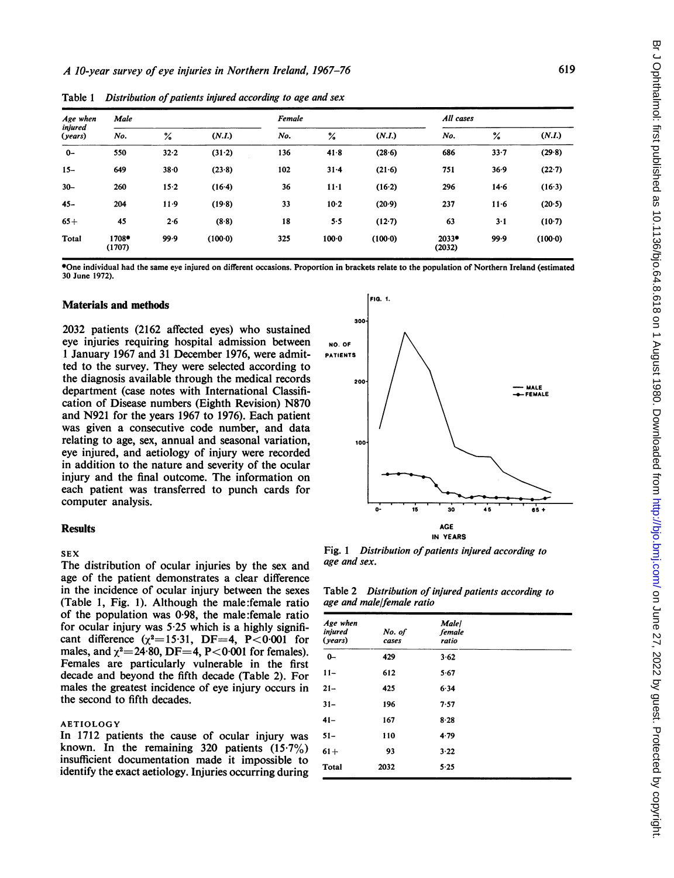| Age when<br>injured<br>(years) | Male            |      |          | Female |               |         |                 | All cases |         |  |  |
|--------------------------------|-----------------|------|----------|--------|---------------|---------|-----------------|-----------|---------|--|--|
|                                | No.             | ℅    | (N.I.)   | No.    | $\frac{9}{4}$ | (N.I.)  | No.             | ℅         | (N.I.)  |  |  |
| $0-$                           | 550             | 32.2 | (31.2)   | 136    | $41 - 8$      | (28.6)  | 686             | $33 - 7$  | (29.8)  |  |  |
| $15 -$                         | 649             | 38.0 | (23.8)   | 102    | $31 - 4$      | (21.6)  | 751             | 36.9      | (22.7)  |  |  |
| $30 -$                         | 260             | 15.2 | $(16-4)$ | 36     | $11 - 1$      | (16.2)  | 296             | $14-6$    | (16.3)  |  |  |
| $45 -$                         | 204             | 11.9 | (19.8)   | 33     | $10-2$        | (20.9)  | 237             | $11-6$    | (20.5)  |  |  |
| $65+$                          | 45              | 2.6  | (8.8)    | 18     | 5.5           | (12.7)  | 63              | $3-1$     | (10.7)  |  |  |
| Total                          | 1708*<br>(1707) | 99.9 | (100.0)  | 325    | $100 - 0$     | (100.0) | 2033*<br>(2032) | 99.9      | (100.0) |  |  |

Table  $1$  Distribution of patients injured according to age and sex

\*One individual had the same eye injured on different occasions. Proportion in brackets relate to the population of Northern Ireland (estimated 30 June 1972).

## Materials and methods

2032 patients (2162 affected eyes) who sustained eye injuries requiring hospital admission between <sup>1</sup> January 1967 and 31 December 1976, were admitted to the survey. They were selected according to the diagnosis available through the medical records department (case notes with International Classification of Disease numbers (Eighth Revision) N870 and N921 for the years 1967 to 1976). Each patient was given a consecutive code number, and data relating to age, sex, annual and seasonal variation, eye injured, and aetiology of injury were recorded in addition to the nature and severity of the ocular injury and the final outcome. The information on each patient was transferred to punch cards for computer analysis.

## **Results**

## SEX

The distribution of ocular injuries by the sex and age of the patient demonstrates a clear difference in the incidence of ocular injury between the sexes (Table 1, Fig. 1). Although the male:female ratio of the population was 0-98, the male:female ratio for ocular injury was  $5.25$  which is a highly significant difference  $(\chi^2=15.31, \text{DF}=4, \text{ P}<0.001 \text{ for}$ males, and  $\chi^2$  = 24.80, DF = 4, P < 0.001 for females). Females are particularly vulnerable in the first decade and beyond the fifth decade (Table 2). For males the greatest incidence of eye injury occurs in the second to fifth decades.

#### AETIOLOGY

In 1712 patients the cause of ocular injury was known. In the remaining 320 patients  $(15.7\%)$ insufficient documentation made it impossible to identify the exact aetiology. Injuries occurring during



Fig. 1 Distribution of patients injured according to age and sex.

Table 2 Distribution of injured patients according to age and male/female ratio

| Age when<br>injured<br>(years) | No. of<br>cases | <b>Male</b><br>female<br>ratio |  |
|--------------------------------|-----------------|--------------------------------|--|
| $0-$                           | 429             | 3.62                           |  |
| $11 -$                         | 612             | 5.67                           |  |
| $21 -$                         | 425             | 6.34                           |  |
| $31 -$                         | 196             | 7.57                           |  |
| $41 -$                         | 167             | 8.28                           |  |
| $51 -$                         | 110             | 4.79                           |  |
| $61+$                          | 93              | 3.22                           |  |
| Total                          | 2032            | 5.25                           |  |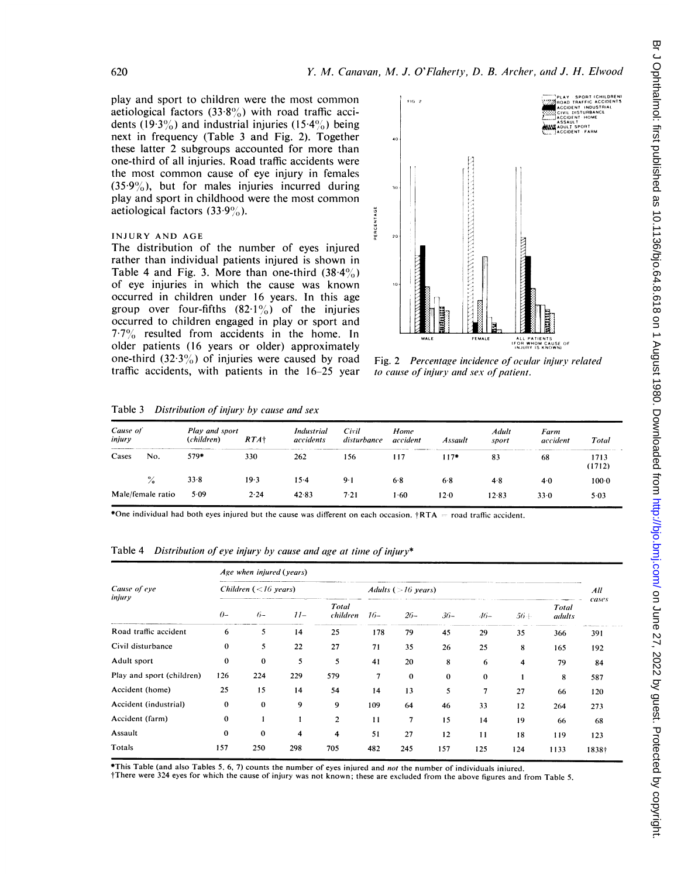play and sport to children were the most common aetiological factors  $(33.8\%)$  with road traffic accidents (19.3%) and industrial injuries (15.4%) being next in frequency (Table 3 and Fig. 2). Together these latter 2 subgroups accounted for more than one-third of all injuries. Road traffic accidents were the most common cause of eye injury in females  $(35.9\%)$ , but for males injuries incurred during play and sport in childhood were the most common aetiological factors  $(33.9\%)$ .

## INJURY AND AGE

The distribution of the number of eyes injured rather than individual patients injured is shown in Table 4 and Fig. 3. More than one-third  $(38.4\%)$ of eye injuries in which the cause was known occurred in children under 16 years. In this age group over four-fifths  $(82.1\%)$  of the injuries occurred to children engaged in play or sport and 7.7% resulted from accidents in the home. In older patients (16 years or older) approximately one-third  $(32.3\%)$  of injuries were caused by road traffic accidents, with patients in the 16-25 year



Fig. 2 Percentage incidence of ocular injury related to cause of injury and sex of patient.

Table  $3$  Distribution of injury by cause and sex

| Cause of<br>injury |                   | Play and sport<br>(children) | $RTA\dagger$ | Industrial<br>accidents | Civil<br>disturbance | Home<br>accident | Assault | Adult<br>sport | Farm<br>accident | Total          |
|--------------------|-------------------|------------------------------|--------------|-------------------------|----------------------|------------------|---------|----------------|------------------|----------------|
| Cases              | No.               | 579*                         | 330          | 262                     | 156                  | 117              | 117*    | 83             | 68               | 1713<br>(1712) |
|                    | $\frac{9}{6}$     | 33.8                         | 19.3         | $15-4$                  | $9 - 1$              | 6.8              | 6.8     | 4.8            | 4.0              | $100-0$        |
|                    | Male/female ratio | 5.09                         | 2.24         | 42.83                   | 7.21                 | 1.60             | 12.0    | 12.83          | 33.0             | 5.03           |

\*One individual had both eyes injured but the cause was different on each occasion.  $\text{tRTA}$  = road traffic accident.

Table 4 Distribution of eye injury by cause and age at time of injury\*

|                           | Age when injured (years) |                        |                         |                   |                       |          |          |              |        |                 |       |  |  |
|---------------------------|--------------------------|------------------------|-------------------------|-------------------|-----------------------|----------|----------|--------------|--------|-----------------|-------|--|--|
| Cause of eye              |                          | Children $(<16$ years) |                         |                   | Adults ( $>16$ years) |          |          |              |        |                 |       |  |  |
| injury                    | $O -$                    | $6-$                   | $11-$                   | Total<br>children | $16-$                 | $26-$    | $36-$    | $46-$        | $56 +$ | Total<br>adults | cases |  |  |
| Road traffic accident     | 6                        | 5                      | 14                      | 25                | 178                   | 79       | 45       | 29           | 35     | 366             | 391   |  |  |
| Civil disturbance         | $\theta$                 | 5                      | 22                      | 27                | 71                    | 35       | 26       | 25           | 8      | 165             | 192   |  |  |
| Adult sport               | $\mathbf{0}$             | $\mathbf{0}$           | 5                       | 5                 | 41                    | 20       | 8        | 6            | 4      | 79              | 84    |  |  |
| Play and sport (children) | 126                      | 224                    | 229                     | 579               | 7                     | $\Omega$ | $\theta$ | $\mathbf{0}$ |        | 8               | 587   |  |  |
| Accident (home)           | 25                       | 15                     | 14                      | 54                | 14                    | 13       | 5        | 7            | 27     | 66              | 120   |  |  |
| Accident (industrial)     | $\bf{0}$                 | $\mathbf{0}$           | 9                       | 9                 | 109                   | 64       | 46       | 33           | 12     | 264             | 273   |  |  |
| Accident (farm)           | $\mathbf{0}$             |                        |                         | $\overline{2}$    | 11                    | 7        | 15       | 14           | 19     | 66              | 68    |  |  |
| Assault                   | $\bf{0}$                 | $\mathbf 0$            | $\overline{\mathbf{4}}$ | 4                 | 51                    | 27       | 12       | 11           | 18     | 119             | 123   |  |  |
| Totals                    | 157                      | 250                    | 298                     | 705               | 482                   | 245      | 157      | 125          | 124    | 1133            | 1838+ |  |  |

\*This Table (and also Tables 5. 6, 7) counts the number of eyes injured and not the number of individuals iniured.

fThere were 324 eyes for which the cause of injuiry was not known; these are excluded from the above figures and from Table 5.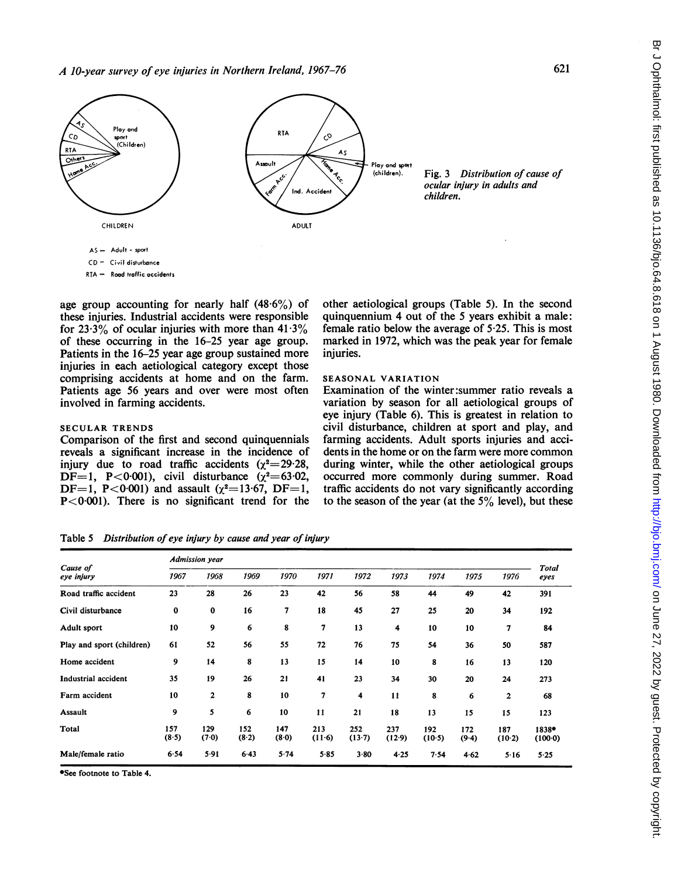

age group accounting for nearly half  $(48.6\%)$  of these injuries. Industrial accidents were responsible for  $23.3\%$  of ocular injuries with more than  $41.3\%$ of these occurring in the 16-25 year age group. Patients in the 16-25 year age group sustained more injuries in each aetiological category except those comprising accidents at home and on the farm. Patients age 56 years and over were most often involved in farming accidents.

Comparison of the first and second quinquennials reveals a significant increase in the incidence of injury due to road traffic accidents  $(\chi^2=29.28,$ DF=1, P<0.001), civil disturbance  $(\chi^2=63.02,$ DF=1, P<0.001) and assault ( $\chi^2$ =13.67, DF=1,  $P < 0.001$ ). There is no significant trend for the

## other aetiological groups (Table 5). In the second quinquennium 4 out of the 5 years exhibit a male: female ratio below the average of 5-25. This is most marked in 1972, which was the peak year for female injuries.

## SEASONAL VARIATION

Examination of the winter:summer ratio reveals a variation by season for all aetiological groups of eye injury (Table 6). This is greatest in relation to civil disturbance, children at sport and play, and farming accidents. Adult sports injuries and accidents in the home or on the farm were more common during winter, while the other aetiological groups occurred more commonly during summer. Road traffic accidents do not vary significantly according to the season of the year (at the  $5\%$  level), but these

Table 5 Distribution of eye injury by cause and year of injury

|                           | <b>Admission year</b> |                         |              |              |               |               |               |               |              |                         |                    |  |  |
|---------------------------|-----------------------|-------------------------|--------------|--------------|---------------|---------------|---------------|---------------|--------------|-------------------------|--------------------|--|--|
| Cause of<br>eye injury    | 1967                  | 1968                    | 1969         | 1970         | 1971          | 1972          | 1973          | 1974          | 1975         | 1976                    | Total<br>eyes      |  |  |
| Road traffic accident     | 23                    | 28                      | 26           | 23           | 42            | 56            | 58            | 44            | 49           | 42                      | 391                |  |  |
| Civil disturbance         | $\bf{0}$              | $\bf{0}$                | 16           | 7            | 18            | 45            | 27            | 25            | 20           | 34                      | 192                |  |  |
| Adult sport               | 10                    | 9                       | 6            | 8            | 7             | 13            | 4             | 10            | 10           | 7                       | 84                 |  |  |
| Play and sport (children) | 61                    | 52                      | 56           | 55           | 72            | 76            | 75            | 54            | 36           | 50                      | 587                |  |  |
| Home accident             | 9                     | 14                      | 8            | 13           | 15            | 14            | 10            | 8             | 16           | 13                      | 120                |  |  |
| Industrial accident       | 35                    | 19                      | 26           | 21           | 41            | 23            | 34            | 30            | 20           | 24                      | 273                |  |  |
| Farm accident             | 10                    | $\overline{\mathbf{2}}$ | 8            | 10           | 7             | 4             | 11            | 8             | 6            | $\overline{\mathbf{2}}$ | 68                 |  |  |
| <b>Assault</b>            | 9                     | 5                       | 6            | 10           | 11            | 21            | 18            | 13            | 15           | 15                      | 123                |  |  |
| Total                     | 157<br>(8.5)          | 129<br>(7.0)            | 152<br>(8.2) | 147<br>(8.0) | 213<br>(11.6) | 252<br>(13.7) | 237<br>(12.9) | 192<br>(10.5) | 172<br>(9.4) | 187<br>(10.2)           | 1838*<br>$(100-0)$ |  |  |
| Male/female ratio         | 6.54                  | 5.91                    | 6.43         | 5.74         | 5.85          | $3 - 80$      | 4.25          | 7.54          | 4.62         | 5.16                    | 5.25               |  |  |

\*See footnote to Table 4.

SECULAR TRENDS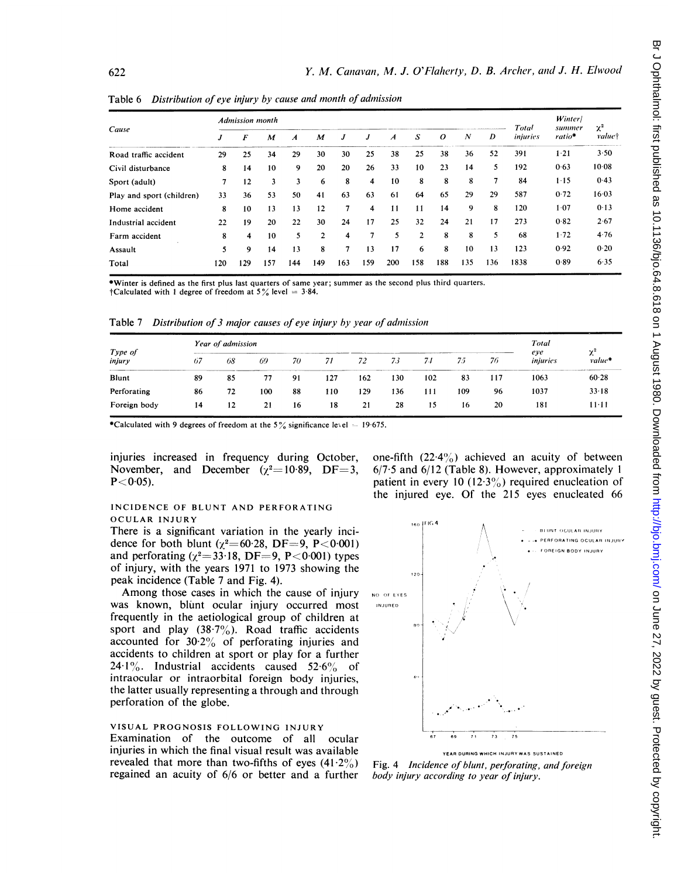|                           | Admission month |     |     |     |              |     |                |     |     |          |     |                | Total    | <b>Winter</b><br>summer | $\chi^2$ |
|---------------------------|-----------------|-----|-----|-----|--------------|-----|----------------|-----|-----|----------|-----|----------------|----------|-------------------------|----------|
| Cause                     | J               | F   | M   | A   | M            | J   | J              | A   | S   | $\Omega$ | N   | D              | injuries | $ratio*$                | value†   |
| Road traffic accident     | 29              | 25  | 34  | 29  | 30           | 30  | 25             | 38  | 25  | 38       | 36  | 52             | 391      | $1 - 21$                | 3.50     |
| Civil disturbance         | 8               | 14  | 10  | 9   | 20           | 20  | 26             | 33  | 10  | 23       | 14  | 5              | 192      | 0.63                    | 10.08    |
| Sport (adult)             | 7               | 12  | 3   | 3   | 6            | 8   | 4              | 10  | 8   | 8        | 8   | $\overline{7}$ | 84       | $1 - 15$                | 0.43     |
| Play and sport (children) | 33              | 36  | 53  | 50  | 41           | 63  | 63             | 61  | 64  | 65       | 29  | 29             | 587      | 0.72                    | 16.03    |
| Home accident             | 8               | 10  | 13  | 13  | 12           | 7   | 4              | 11  | 11  | 14       | 9   | 8              | 120      | 1.07                    | 0.13     |
| Industrial accident       | 22              | 19  | 20  | 22  | 30           | 24  | 17             | 25  | 32  | 24       | 21  | 17             | 273      | 0.82                    | 2.67     |
| Farm accident             | 8               | 4   | 10  | 5.  | $\mathbf{c}$ | 4   | $\overline{7}$ | 5   | 2   | 8        | 8   | 5              | 68       | 1.72                    | 4.76     |
| Assault                   | 5               | 9   | 14  | 13  | 8            | 7   | 13             | 17  | 6   | 8        | 10  | 13             | 123      | 0.92                    | 0.20     |
| Total                     | 120             | 129 | 157 | 144 | 149          | 163 | 159            | 200 | 158 | 188      | 135 | 136            | 1838     | 0.89                    | 6.35     |

Table 6 Distribution of eve injury by cause and month of admission

\*Winter is defined as the first plus last quarters of same year; summer as the second plus third quarters. †Calculated with 1 degree of freedom at  $5\%$  level =  $3.84$ .

Table 7 Distribution of 3 major causes of eye injury by year of admission

| Type of<br>injury | Year of admission | Total |     |    |     |     |     |     |     |     |                 |                      |
|-------------------|-------------------|-------|-----|----|-----|-----|-----|-----|-----|-----|-----------------|----------------------|
|                   | 67                | 68    | 69  | 70 | 71  | 72  | 73  | 74  | 75  | 76  | eye<br>injuries | $\gamma^2$<br>value* |
| Blunt             | 89                | 85    | 77  | 91 | 127 | 162 | 130 | 102 | 83  | 117 | 1063            | 60.28                |
| Perforating       | 86                | 72    | 100 | 88 | 110 | 129 | 136 | 111 | 109 | 96  | 1037            | 33.18                |
| Foreign body      | 14                | 12    | 21  | 16 | 18  | 21  | 28  | 15  | 16  | 20  | 181             | $11 - 11$            |

\*Calculated with 9 degrees of freedom at the 5% significance level  $= 19.675$ .

injuries increased in frequency during October, November, and December  $(\gamma^2=10.89, DF=3,$  $P < 0.05$ ).

## INCIDENCE OF BLUNT AND PERFORATING OCULAR INJURY

There is a significant variation in the yearly incidence for both blunt ( $\chi^2$ =60.28, DF=9, P<0.001) and perforating  $(\chi^2=33.18, \text{DF}=9, \text{P}<0.001)$  types of injury, with the years 1971 to 1973 showing the peak incidence (Table 7 and Fig. 4).

Among those cases in which the cause of injury was known, blunt ocular injury occurred most frequently in the aetiological group of children at sport and play  $(38.7\%)$ . Road traffic accidents accounted for  $30.2\%$  of perforating injuries and accidents to children at sport or play for a further 24.1%. Industrial accidents caused  $52.6\%$  of intraocular or intraorbital foreign body injuries, the latter usually representing a through and through perforation of the globe.

## VISUAL PROGNOSIS FOLLOWING INJURY

Examination of the outcome of all ocular injuries in which the final visual result was available revealed that more than two-fifths of eyes  $(41.2\%)$ regained an acuity of 6/6 or better and a further one-fifth  $(22.4\%)$  achieved an acuity of between  $6/7.5$  and  $6/12$  (Table 8). However, approximately 1 patient in every 10 (12.3%) required enucleation of the injured eye. Of the 215 eyes enucleated 66



Fig. 4 Incidence of blunt, perforating, and foreign body injury according to year of injury.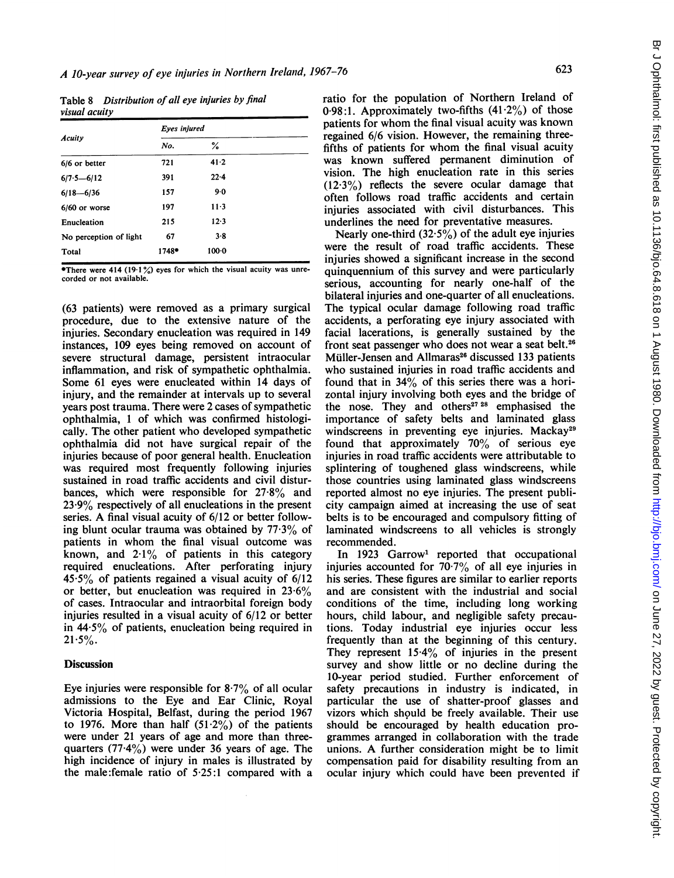Table 8 Distribution of all eve injuries by final visual acuity

|                        | Eyes injured |         |  |  |  |  |  |  |  |
|------------------------|--------------|---------|--|--|--|--|--|--|--|
| Acuity                 | No.          | %       |  |  |  |  |  |  |  |
| 6/6 or better          | 721          | 41.2    |  |  |  |  |  |  |  |
| $6/7.5 - 6/12$         | 391          | 22.4    |  |  |  |  |  |  |  |
| $6/18 - 6/36$          | 157          | 9.0     |  |  |  |  |  |  |  |
| $6/60$ or worse        | 197          | $11-3$  |  |  |  |  |  |  |  |
| Enucleation            | 215          | 12.3    |  |  |  |  |  |  |  |
| No perception of light | 67           | $3 - 8$ |  |  |  |  |  |  |  |
| Total                  | 1748*        | 100.0   |  |  |  |  |  |  |  |
|                        |              |         |  |  |  |  |  |  |  |

\*There were 414 (19.1%) eyes for which the visual acuity was unrecorded or not available.

(63 patients) were removed as a primary surgical procedure, due to the extensive nature of the injuries. Secondary enucleation was required in 149 instances, 109 eyes being removed on account of severe structural damage, persistent intraocular inflammation, and risk of sympathetic ophthalmia. Some 61 eyes were enucleated within 14 days of injury, and the remainder at intervals up to several years post trauma. There were 2 cases of sympathetic ophthalmia, <sup>1</sup> of which was confirmed histologically. The other patient who developed sympathetic ophthalmia did not have surgical repair of the injuries because of poor general health. Enucleation was required most frequently following injuries sustained in road traffic accidents and civil disturbances, which were responsible for  $27.8\%$  and 23-9% respectively of all enucleations in the present series. A final visual acuity of 6/12 or better following blunt ocular trauma was obtained by  $77.3\%$  of patients in whom the final visual outcome was known, and  $2.1\%$  of patients in this category required enucleations. After perforating injury  $45.5\%$  of patients regained a visual acuity of  $6/12$ or better, but enucleation was required in  $23.6\%$ of cases. Intraocular and intraorbital foreign body injuries resulted in a visual acuity of 6/12 or better in  $44.5\%$  of patients, enucleation being required in  $21.5\%$ .

## **Discussion**

Eye injuries were responsible for  $8.7\%$  of all ocular admissions to the Eye and Ear Clinic, Royal Victoria Hospital, Belfast, during the period 1967 to 1976. More than half  $(51.2\%)$  of the patients were under <sup>21</sup> years of age and more than threequarters  $(77.4\%)$  were under 36 years of age. The high incidence of injury in males is illustrated by the male:female ratio of 5-25:1 compared with a

ratio for the population of Northern Ireland of 0.98:1. Approximately two-fifths  $(41.2\%)$  of those patients for whom the final visual acuity was known regained 6/6 vision. However, the remaining threefifths of patients for whom the final visual acuity was known suffered permanent diminution of vision. The high enucleation rate in this series (12-3%) reflects the severe ocular damage that often follows road traffic accidents and certain injuries associated with civil disturbances. This underlines the need for preventative measures.

Nearly one-third  $(32.5\%)$  of the adult eye injuries were the result of road traffic accidents. These injuries showed a significant increase in the second quinquennium of this survey and were particularly serious, accounting for nearly one-half of the bilateral injuries and one-quarter of all enucleations. The typical ocular damage following road traffic accidents, a perforating eye injury associated with facial lacerations, is generally sustained by the front seat passenger who does not wear a seat belt.<sup>26</sup> Müller-Jensen and Allmaras<sup>26</sup> discussed 133 patients who sustained injuries in road traffic accidents and found that in 34% of this series there was a horizontal injury involving both eyes and the bridge of the nose. They and others<sup>27</sup> <sup>28</sup> emphasised the importance of safety belts and laminated glass windscreens in preventing eye injuries. Mackay<sup>29</sup> found that approximately 70% of serious eye injuries in road traffic accidents were attributable to splintering of toughened glass windscreens, while those countries using laminated glass windscreens reported almost no eye injuries. The present publicity campaign aimed at increasing the use of seat belts is to be encouraged and compulsory fitting of laminated windscreens to all vehicles is strongly recommended.

In 1923 Garrow' reported that occupational injuries accounted for  $70.7\%$  of all eye injuries in his series. These figures are similar to earlier reports and are consistent with the industrial and social conditions of the time, including long working hours, child labour, and negligible safety precautions. Today industrial eye injuries occur less frequently than at the beginning of this century. They represent  $15.4\%$  of injuries in the present survey and show little or no decline during the 10-year period studied. Further enforcement of safety precautions in industry is indicated, in particular the use of shatter-proof glasses and vizors which should be freely available. Their use should be encouraged by health education programmes arranged in collaboration with the trade unions. A further consideration might be to limit compensation paid for disability resulting from an ocular injury which could have been prevented if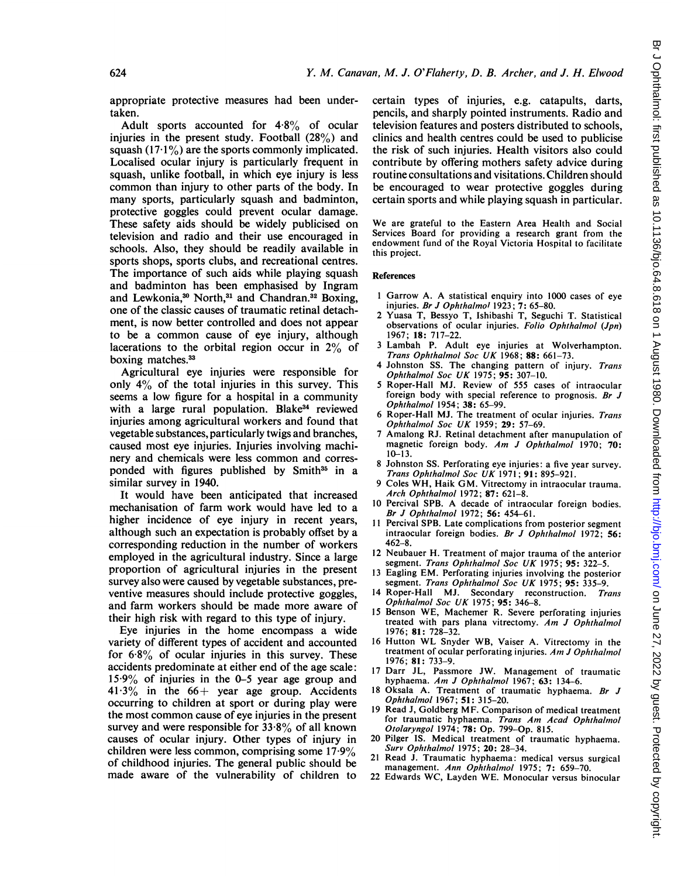appropriate protective measures had been undertaken.

Adult sports accounted for 4-8% of ocular injuries in the present study. Football (28%) and squash  $(17.1\%)$  are the sports commonly implicated. Localised ocular injury is particularly frequent in squash, unlike football, in which eye injury is less common than injury to other parts of the body. In many sports, particularly squash and badminton, protective goggles could prevent ocular damage. These safety aids should be widely publicised on television and radio and their use encouraged in schools. Also, they should be readily available in sports shops, sports clubs, and recreational centres. The importance of such aids while playing squash and badminton has been emphasised by Ingram and Lewkonia,<sup>30</sup> North,<sup>31</sup> and Chandran.<sup>32</sup> Boxing, one of the classic causes of traumatic retinal detachment, is now better controlled and does not appear to be a common cause of eye injury, although lacerations to the orbital region occur in 2% of boxing matches.<sup>33</sup>

Agricultural eye injuries were responsible for only 4% of the total injuries in this survey. This seems a low figure for a hospital in a community with a large rural population. Blake<sup>34</sup> reviewed injuries among agricultural workers and found that vegetable substances, particularly twigs and branches, caused most eye injuries. Injuries involving machinery and chemicals were less common and corresponded with figures published by Smith<sup>35</sup> in a similar survey in 1940.

It would have been anticipated that increased mechanisation of farm work would have led to a higher incidence of eye injury in recent years, although such an expectation is probably offset by a corresponding reduction in the number of workers employed in the agricultural industry. Since a large proportion of agricultural injuries in the present survey also were caused by vegetable substances, preventive measures should include protective goggles, and farm workers should be made more aware of their high risk with regard to this type of injury.

Eye injuries in the home encompass a wide variety of different types of accident and accounted for  $6.8\%$  of ocular injuries in this survey. These accidents predominate at either end of the age scale: 15-9% of injuries in the 0-5 year age group and  $41.3\%$  in the  $66+$  year age group. Accidents occurring to children at sport or during play were the most common cause of eye injuries in the present survey and were responsible for  $33.8\%$  of all known causes of ocular injury. Other types of injury in children were less common, comprising some 17-9% of childhood injuries. The general public should be made aware of the vulnerability of children to

certain types of injuries, e.g. catapults, darts, pencils, and sharply pointed instruments. Radio and television features and posters distributed to schools, clinics and health centres could be used to publicise the risk of such injuries. Health visitors also could contribute by offering mothers safety advice during routine consultations and visitations. Children should be encouraged to wear protective goggles during certain sports and while playing squash in particular.

We are grateful to the Eastern Area Health and Social Services Board for providing a research grant from the endowment fund of the Royal Victoria Hospital to facilitate this project.

#### References

- <sup>1</sup> Garrow A. A statistical enquiry into <sup>1000</sup> cases of eye injuries. Br J Ophthalmol 1923; 7: 65-80.
- 2 Yuasa T, Bessyo T, Ishibashi T, Seguchi T. Statistical observations of ocular injuries. Folio Ophthalmol (Jpn) 1967; 18: 717-22.
- <sup>3</sup> Lambah P. Adult eye injuries at Wolverhampton. Trans Ophthalmol Soc UK 1968;  $88: 661-73$ .
- 4 Johnston SS. The changing pattern of injury. Trans
- Ophthalmol Soc UK 1975; 95: 307-10.<br>5 Roper-Hall MJ. Review of 555 cases of intraocular foreign body with special reference to prognosis. Br  $J$ Ophthalmol 1954; 38: 65-99.
- 6 Roper-Hall MJ. The treatment of ocular injuries. Trans Ophthalmol Soc UK 1959; 29: 57-69.
- 7 Amalong RJ. Retinal detachment after manupulation of magnetic foreign body. Am J Ophthalmol 1970; 70: 10-13.
- 8 Johnston SS. Perforating eye injuries: a five year survey. Trans Ophthalmol Soc UK 1971; 91: 895-921.
- Coles WH, Haik GM. Vitrectomy in intraocular trauma. Arch Ophthalmol 1972; 87: 621-8.
- <sup>10</sup> Percival SPB. A decade of intraocular foreign bodies. Br J Ophthalmol 1972; 56: 454-61.
- 11 Percival SPB. Late complications from posterior segment intraocular foreign bodies. Br J Ophthalmol 1972; 56: 462-8.
- 12 Neubauer H. Treatment of major trauma of the anterior segment. Trans Ophthalmol Soc UK 1975; 95: 322-5.
- <sup>13</sup> Eagling EM. Perforating injuries involving the posterior segment. Trans Ophthalmol Soc UK 1975; 95: 335-9.
- 14 Roper-Hall MJ. Secondary reconstruction. Trans Ophthalmol Soc UK 1975; 95: 346-8.
- <sup>15</sup> Benson WE, Machemer R. Severe perforating injuries treated with pars plana vitrectomy. Am J Ophthalmol 1976; 81: 728-32.
- <sup>16</sup> Hutton WL Snyder WB, Vaiser A. Vitrectomy in the treatment of ocular perforating injuries. Am J Ophthalmol 1976; 81: 733-9.
- 17 Darr JL, Passmore JW. Management of traumatic hyphaema. Am J Ophthalmol 1967; 63: 134-6.
- 18 Oksala A. Treatment of traumatic hyphaema. Br J Ophthalmol 1967; 51: 315-20.
- <sup>19</sup> Read J, Goldberg MF. Comparison of medical treatment for traumatic hyphaema. Trans Am Acad Ophthalmol Otolaryngol 1974; 78: Op. 799-Op. 815.
- 20 Pilger IS. Medical treatment of traumatic hyphaema. Surv Ophthalmol 1975; 20: 28-34.
- 21 Read J. Traumatic hyphaema: medical versus surgical
- management. *Ann Ophthalmol* 1975; 7: 659–70.<br>22 Edwards WC, Layden WE. Monocular versus binocular